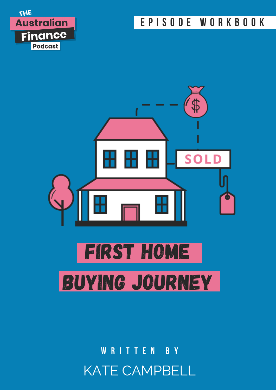### E P I S O D E W O R K B O O K





KATE CAMPBELL W R I T T E N B Y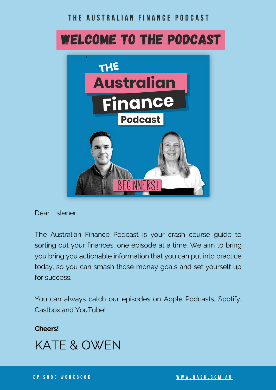### THE AUSTRALIAN FINANCE PODCAST

## WELCOME TO THE PODCAST



Dear Listener,

The Australian Finance Podcast is your crash course guide to sorting out your finances, one episode at a time. We aim to bring you bring you actionable information that you can put into practice today, so you can smash those money goals and set yourself up for success.

You can always catch our episodes on Apple Podcasts, Spotify, Castbox and YouTube!

**Cheers!**

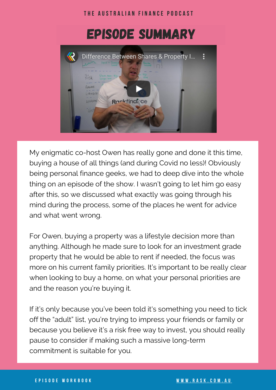

My enigmatic co-host Owen has really gone and done it this time, buying a house of all things (and during Covid no less)! Obviously being personal finance geeks, we had to deep dive into the whole thing on an episode of the show. I wasn't going to let him go easy after this, so we discussed what exactly was going through his mind during the process, some of the places he went for advice and what went wrong.

For Owen, buying a property was a lifestyle decision more than anything. Although he made sure to look for an investment grade property that he would be able to rent if needed, the focus was more on his current family priorities. It's important to be really clear when looking to buy a home, on what your personal priorities are and the reason you're buying it.

If it's only because you've been told it's something you need to tick off the "adult" list, you're trying to impress your friends or family or because you believe it's a risk free way to invest, you should really pause to consider if making such a massive long-term commitment is suitable for you.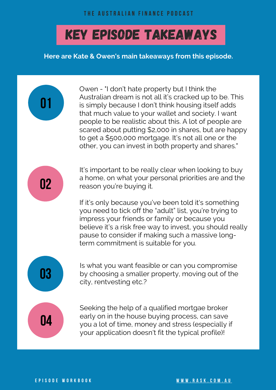# KEY EPISODE TAKEAWAYS

**Here are Kate & Owen's main takeaways from this episode.**

Owen - "I don't hate property but I think the Australian dream is not all it's cracked up to be. This is simply because I don't think housing itself adds that much value to your wallet and society. I want people to be realistic about this. A lot of people are scared about putting \$2,000 in shares, but are happy to get a \$500,000 mortgage. It's not all one or the other, you can invest in both property and shares."

02

01

It's important to be really clear when looking to buy a home, on what your personal priorities are and the reason you're buying it.

If it's only because you've been told it's something you need to tick off the "adult" list, you're trying to impress your friends or family or because you believe it's a risk free way to invest, you should really pause to consider if making such a massive longterm commitment is suitable for you.

Is what you want feasible or can you compromise by choosing a smaller property, moving out of the city, rentvesting etc.?

04

03

Seeking the help of a qualified mortgae broker early on in the house buying process, can save you a lot of time, money and stress (especially if your application doesn't fit the typical profile)!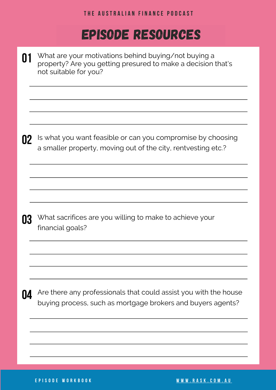#### THE AUSTRALIAN FINANCE PODCAST

### EPISODE RESOURCES

| Ш         | What are your motivations behind buying/not buying a<br>property? Are you getting presured to make a decision that's<br>not suitable for you? |  |  |  |
|-----------|-----------------------------------------------------------------------------------------------------------------------------------------------|--|--|--|
| 02        | Is what you want feasible or can you compromise by choosing<br>a smaller property, moving out of the city, rentvesting etc.?                  |  |  |  |
| 03        | What sacrifices are you willing to make to achieve your<br>financial goals?                                                                   |  |  |  |
| <b>U4</b> | Are there any professionals that could assist you with the house<br>buying process, such as mortgage brokers and buyers agents?               |  |  |  |
|           |                                                                                                                                               |  |  |  |

E P I S O D E [W](https://www.rask.com.au/) O R K B O O K W W W W W . W W W W . RASK . C O M . A U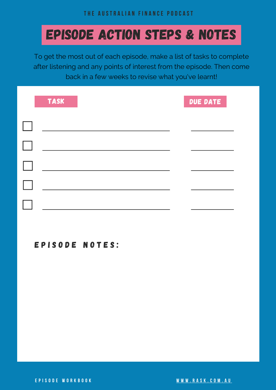# EPISODE ACTION STEPS & NOTES

To get the most out of each episode, make a list of tasks to complete after listening and any points of interest from the episode. Then come back in a few weeks to revise what you've learnt!

| <b>TASK</b> | DUE DATE |  |
|-------------|----------|--|
|             |          |  |
|             |          |  |
|             |          |  |
|             |          |  |
|             |          |  |

### EPISODE NOTES:

E P I S O D E [W](https://www.rask.com.au/) O R K B O O K W W W W W . W W W W . R A S K . C O M . A U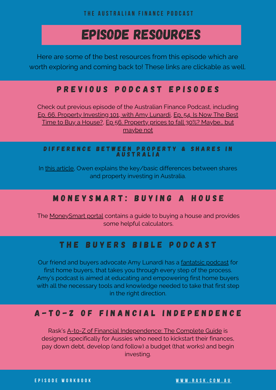THE AUSTRALIAN FINANCE PODCAST

### EPISODE RESOURCES

Here are some of the best resources from this episode which are worth exploring and coming back to! These links are clickable as well.

### P R E V I O U S P O D C A S T E P I S O D E S

Check out previous episode of the Australian Finance Podcast, including Ep. 66. Property [Investing](https://www.rask.com.au/2020/07/27/ep-66-property-investing-101-with-amy-lunardi/) 101, with Amy Lunardi, Ep. 54. Is Now The Best Time to Buy a House?, Ep 56. [Property](https://www.rask.com.au/2020/05/18/property-prices-to-fall/) prices to fall 30%? Maybe... but maybe not

#### D IFFERENCE BETWEEN PROPERTY & SHARES IN **AUSTRALIA**

In this [article](https://education.rask.com.au/2020/01/09/video-difference-between-property-shares-in-australia/), Owen explains the key/basic differences between shares and property investing in Australia.

### MONEYSMART: BUYING A HOUSE

The [MoneySmart](https://moneysmart.gov.au/buying-a-house) portal contains a guide to buying a house and provides some helpful calculators.

### THE BUYERS BIBLE PODCAST

Our friend and buyers advocate Amy Lunardi has a [fantatsic](https://thebuyersbible.com.au/) podcast for first home buyers, that takes you through every step of the process. Amy's podcast is aimed at educating and empowering first home buyers with all the necessary tools and knowledge needed to take that first step in the right direction.

### A - t o - Z o f F i n [a](https://education.rask.com.au/courses/personal-finance-basics/) n c i a l I n d e p e n d e n c e

Rask's A-to-Z of Financial [Independence:](https://education.rask.com.au/courses/personal-finance-basics/) The Complete Guide is designed specifically for Aussies who need to kickstart their finances, pay down debt, develop (and follow) a budget (that works) and begin investing.

E P I S O D E [W](https://www.rask.com.au/)ORKBOOK WERE SERVED AND THE WAVE A SK. COM. A U